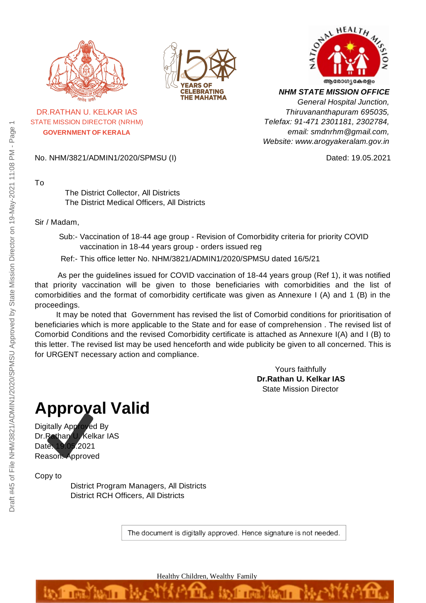

STATE MISSION DIRECTOR (NRHM) **GOVERNMENT OF KERALA**





*NHM STATE MISSION OFFICE General Hospital Junction, Thiruvananthapuram 695035, Telefax: 91-471 2301181, 2302784, email: smdnrhm@gmail.com, Website: www.arogyakeralam.gov.in*

No. NHM/3821/ADMIN1/2020/SPMSU (I) Dated: 19.05.2021

To

The District Collector, All Districts The District Medical Officers, All Districts

#### Sir / Madam,

Sub:- Vaccination of 18-44 age group - Revision of Comorbidity criteria for priority COVID vaccination in 18-44 years group - orders issued reg

Ref:- This office letter No. NHM/3821/ADMIN1/2020/SPMSU dated 16/5/21

As per the guidelines issued for COVID vaccination of 18-44 years group (Ref 1), it was notified that priority vaccination will be given to those beneficiaries with comorbidities and the list of comorbidities and the format of comorbidity certificate was given as Annexure I (A) and 1 (B) in the proceedings.

It may be noted that Government has revised the list of Comorbid conditions for prioritisation of beneficiaries which is more applicable to the State and for ease of comprehension . The revised list of Comorbid Conditions and the revised Comorbidity certificate is attached as Annexure I(A) and I (B) to this letter. The revised list may be used henceforth and wide publicity be given to all concerned. This is for URGENT necessary action and compliance.

> Yours faithfully **Dr.Rathan U. Kelkar IAS** State Mission Director

# **Approval Valid**

Digitally Approved By Dr.Rathan U. Kelkar IAS Date: 19.05.2021 Reason: Approved

Copy to

District Program Managers, All Districts District RCH Officers, All Districts

The document is digitally approved. Hence signature is not needed.

Healthy Children, Wealthy Family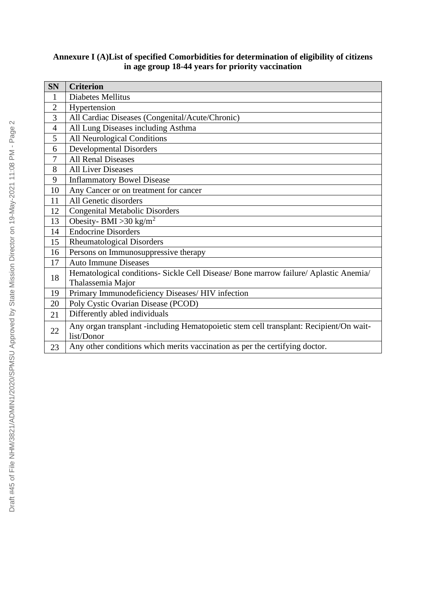## **SN Criterion** 1 Diabetes Mellitus 2 Hypertension 3 All Cardiac Diseases (Congenital/Acute/Chronic) 4 All Lung Diseases including Asthma 5 All Neurological Conditions 6 Developmental Disorders 7 All Renal Diseases 8 | All Liver Diseases 9 Inflammatory Bowel Disease 10 Any Cancer or on treatment for cancer 11 All Genetic disorders 12 Congenital Metabolic Disorders 13 Obesity- BMI > 30 kg/m<sup>2</sup> 14 Endocrine Disorders 15 Rheumatological Disorders 16 Persons on Immunosuppressive therapy 17 Auto Immune Diseases <sup>18</sup> Hematological conditions- Sickle Cell Disease/ Bone marrow failure/ Aplastic Anemia/ Thalassemia Major 19 Primary Immunodeficiency Diseases/ HIV infection 20 | Poly Cystic Ovarian Disease (PCOD) 21 Differently abled individuals 22 Any organ transplant -including Hematopoietic stem cell transplant: Recipient/On waitlist/Donor 23 Any other conditions which merits vaccination as per the certifying doctor.

## **Annexure I (A)List of specified Comorbidities for determination of eligibility of citizens in age group 18-44 years for priority vaccination**